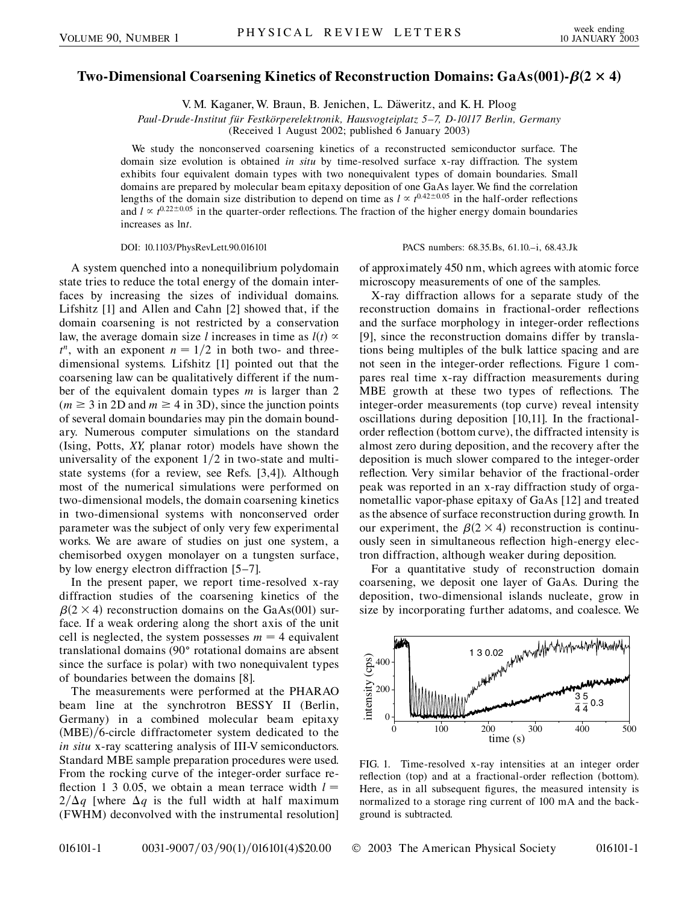## **Two-Dimensional Coarsening Kinetics of Reconstruction Domains: GaAs001--2 4-**

V. M. Kaganer, W. Braun, B. Jenichen, L. Däweritz, and K. H. Ploog

*Paul-Drude-Institut fu¨r Festko¨rperelektronik, Hausvogteiplatz 5–7, D-10117 Berlin, Germany*

(Received 1 August 2002; published 6 January 2003)

We study the nonconserved coarsening kinetics of a reconstructed semiconductor surface. The domain size evolution is obtained *in situ* by time-resolved surface x-ray diffraction. The system exhibits four equivalent domain types with two nonequivalent types of domain boundaries. Small domains are prepared by molecular beam epitaxy deposition of one GaAs layer. We find the correlation lengths of the domain size distribution to depend on time as  $l \propto t^{0.42 \pm 0.05}$  in the half-order reflections and  $l \propto t^{0.22 \pm 0.05}$  in the quarter-order reflections. The fraction of the higher energy domain boundaries increases as ln*t*.

## DOI: 10.1103/PhysRevLett.90.016101 PACS numbers: 68.35.Bs, 61.10.–i, 68.43.Jk

A system quenched into a nonequilibrium polydomain state tries to reduce the total energy of the domain interfaces by increasing the sizes of individual domains. Lifshitz [1] and Allen and Cahn [2] showed that, if the domain coarsening is not restricted by a conservation law, the average domain size *l* increases in time as  $l(t) \propto$  $t^n$ , with an exponent  $n = 1/2$  in both two- and threedimensional systems. Lifshitz [1] pointed out that the coarsening law can be qualitatively different if the number of the equivalent domain types *m* is larger than 2  $(m \ge 3$  in 2D and  $m \ge 4$  in 3D), since the junction points of several domain boundaries may pin the domain boundary. Numerous computer simulations on the standard (Ising, Potts, *XY*, planar rotor) models have shown the universality of the exponent  $1/2$  in two-state and multistate systems (for a review, see Refs. [3,4]). Although most of the numerical simulations were performed on two-dimensional models, the domain coarsening kinetics in two-dimensional systems with nonconserved order parameter was the subject of only very few experimental works. We are aware of studies on just one system, a chemisorbed oxygen monolayer on a tungsten surface, by low energy electron diffraction [5–7].

In the present paper, we report time-resolved x-ray diffraction studies of the coarsening kinetics of the  $\beta$ (2 × 4) reconstruction domains on the GaAs(001) surface. If a weak ordering along the short axis of the unit cell is neglected, the system possesses  $m = 4$  equivalent translational domains (90° rotational domains are absent since the surface is polar) with two nonequivalent types of boundaries between the domains [8].

The measurements were performed at the PHARAO beam line at the synchrotron BESSY II (Berlin, Germany) in a combined molecular beam epitaxy (MBE)/6-circle diffractometer system dedicated to the *in situ* x-ray scattering analysis of III-V semiconductors. Standard MBE sample preparation procedures were used. From the rocking curve of the integer-order surface reflection 1 3 0.05, we obtain a mean terrace width  $l =$  $2/\Delta q$  [where  $\Delta q$  is the full width at half maximum (FWHM) deconvolved with the instrumental resolution] of approximately 450 nm, which agrees with atomic force microscopy measurements of one of the samples.

X-ray diffraction allows for a separate study of the reconstruction domains in fractional-order reflections and the surface morphology in integer-order reflections [9], since the reconstruction domains differ by translations being multiples of the bulk lattice spacing and are not seen in the integer-order reflections. Figure 1 compares real time x-ray diffraction measurements during MBE growth at these two types of reflections. The integer-order measurements (top curve) reveal intensity oscillations during deposition [10,11]. In the fractionalorder reflection (bottom curve), the diffracted intensity is almost zero during deposition, and the recovery after the deposition is much slower compared to the integer-order reflection. Very similar behavior of the fractional-order peak was reported in an x-ray diffraction study of organometallic vapor-phase epitaxy of GaAs [12] and treated as the absence of surface reconstruction during growth. In our experiment, the  $\beta(2 \times 4)$  reconstruction is continuously seen in simultaneous reflection high-energy electron diffraction, although weaker during deposition.

For a quantitative study of reconstruction domain coarsening, we deposit one layer of GaAs. During the deposition, two-dimensional islands nucleate, grow in size by incorporating further adatoms, and coalesce. We



FIG. 1. Time-resolved x-ray intensities at an integer order reflection (top) and at a fractional-order reflection (bottom). Here, as in all subsequent figures, the measured intensity is normalized to a storage ring current of 100 mA and the background is subtracted.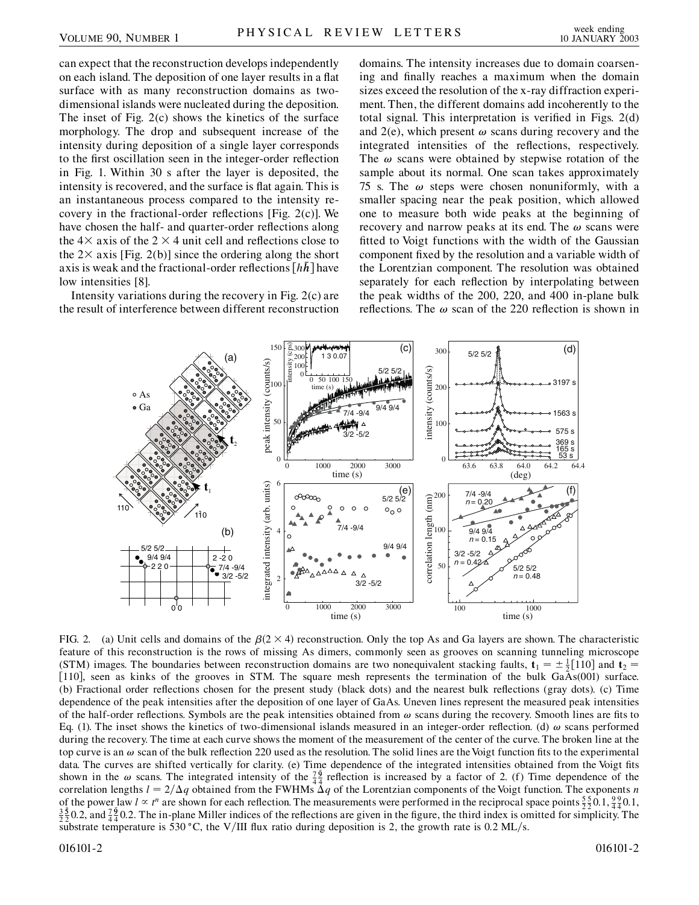can expect that the reconstruction develops independently on each island. The deposition of one layer results in a flat surface with as many reconstruction domains as twodimensional islands were nucleated during the deposition. The inset of Fig. 2(c) shows the kinetics of the surface morphology. The drop and subsequent increase of the intensity during deposition of a single layer corresponds to the first oscillation seen in the integer-order reflection in Fig. 1. Within 30 s after the layer is deposited, the intensity is recovered, and the surface is flat again. This is an instantaneous process compared to the intensity recovery in the fractional-order reflections [Fig. 2(c)]. We have chosen the half- and quarter-order reflections along the  $4 \times$  axis of the 2  $\times$  4 unit cell and reflections close to the  $2\times$  axis [Fig. 2(b)] since the ordering along the short axis is weak and the fractional-order reflections  $[h\bar{h}]$  have low intensities [8].

Intensity variations during the recovery in Fig. 2(c) are the result of interference between different reconstruction domains. The intensity increases due to domain coarsening and finally reaches a maximum when the domain sizes exceed the resolution of the x-ray diffraction experiment. Then, the different domains add incoherently to the total signal. This interpretation is verified in Figs. 2(d) and  $2(e)$ , which present  $\omega$  scans during recovery and the integrated intensities of the reflections, respectively. The  $\omega$  scans were obtained by stepwise rotation of the sample about its normal. One scan takes approximately 75 s. The  $\omega$  steps were chosen nonuniformly, with a smaller spacing near the peak position, which allowed one to measure both wide peaks at the beginning of recovery and narrow peaks at its end. The  $\omega$  scans were fitted to Voigt functions with the width of the Gaussian component fixed by the resolution and a variable width of the Lorentzian component. The resolution was obtained separately for each reflection by interpolating between the peak widths of the 200, 220, and 400 in-plane bulk reflections. The  $\omega$  scan of the 220 reflection is shown in



FIG. 2. (a) Unit cells and domains of the  $\beta(2 \times 4)$  reconstruction. Only the top As and Ga layers are shown. The characteristic feature of this reconstruction is the rows of missing As dimers, commonly seen as grooves on scanning tunneling microscope (STM) images. The boundaries between reconstruction domains are two nonequivalent stacking faults,  $\mathbf{t}_1 = \pm \frac{1}{2} [110]$  and  $\mathbf{t}_2 =$ [110], seen as kinks of the grooves in STM. The square mesh represents the termination of the bulk GaAs(001) surface. (b) Fractional order reflections chosen for the present study (black dots) and the nearest bulk reflections (gray dots). (c) Time dependence of the peak intensities after the deposition of one layer of GaAs. Uneven lines represent the measured peak intensities of the half-order reflections. Symbols are the peak intensities obtained from  $\omega$  scans during the recovery. Smooth lines are fits to Eq. (1). The inset shows the kinetics of two-dimensional islands measured in an integer-order reflection. (d)  $\omega$  scans performed during the recovery. The time at each curve shows the moment of the measurement of the center of the curve. The broken line at the top curve is an  $\omega$  scan of the bulk reflection 220 used as the resolution. The solid lines are the Voigt function fits to the experimental data. The curves are shifted vertically for clarity. (e) Time dependence of the integrated intensities obtained from the Voigt fits shown in the  $\omega$  scans. The integrated intensity of the  $\frac{76}{44}$  reflection is increased by a factor of 2. (f) Time dependence of the correlation lengths  $l = 2/\Delta q$  obtained from the FWHMs  $\Delta q$  of the Lorentzian components of the Voigt function. The exponents *n* of the power law  $l \propto t^n$  are shown for each reflection. The measurements were performed in the reciprocal space points  $\frac{55}{2}$  0.1,  $\frac{92}{4}$  0.1,  $\frac{2}{3}$  1,  $\frac{9}{4}$  1,  $\frac{1}{2}$  1,  $\frac{1}{2}$  1,  $\frac{1}{2}$  1,  $\frac{$ 2  $\frac{5}{2}$ 0.2, and  $\frac{7}{4}$ ,  $\frac{9}{4}$ 0.2. The in-plane Miller indices of the reflections are given in the figure, the third index is omitted for simplicity. The substrate temperature is 530 °C, the V/III flux ratio during deposition is 2, the growth rate is 0.2 ML/s.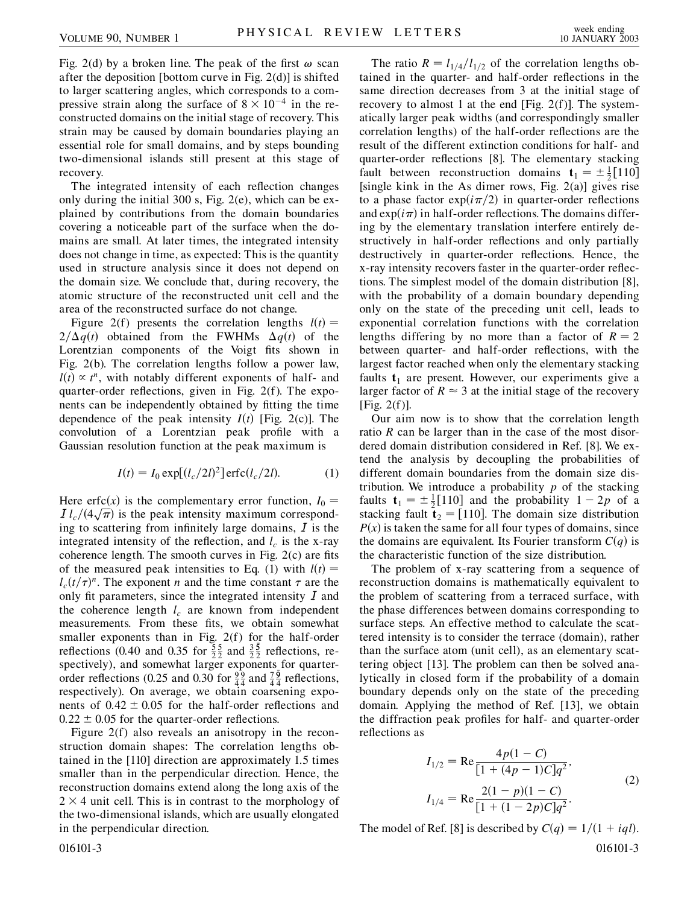Fig. 2(d) by a broken line. The peak of the first  $\omega$  scan after the deposition [bottom curve in Fig. 2(d)] is shifted to larger scattering angles, which corresponds to a compressive strain along the surface of  $8 \times 10^{-4}$  in the reconstructed domains on the initial stage of recovery. This strain may be caused by domain boundaries playing an essential role for small domains, and by steps bounding two-dimensional islands still present at this stage of recovery.

The integrated intensity of each reflection changes only during the initial 300 s, Fig. 2(e), which can be explained by contributions from the domain boundaries covering a noticeable part of the surface when the domains are small. At later times, the integrated intensity does not change in time, as expected: This is the quantity used in structure analysis since it does not depend on the domain size. We conclude that, during recovery, the atomic structure of the reconstructed unit cell and the area of the reconstructed surface do not change.

Figure 2(f) presents the correlation lengths  $l(t)$  =  $2/\Delta q(t)$  obtained from the FWHMs  $\Delta q(t)$  of the Lorentzian components of the Voigt fits shown in Fig. 2(b). The correlation lengths follow a power law,  $l(t) \propto t^n$ , with notably different exponents of half- and quarter-order reflections, given in Fig. 2(f). The exponents can be independently obtained by fitting the time dependence of the peak intensity  $I(t)$  [Fig. 2(c)]. The convolution of a Lorentzian peak profile with a Gaussian resolution function at the peak maximum is

$$
I(t) = I_0 \exp[(l_c/2l)^2] \operatorname{erfc}(l_c/2l). \tag{1}
$$

Here erfc(x) is the complementary error function,  $I_0 =$ Here enc(x) is the complementary error function,  $I_0 = I l_c/(4\sqrt{\pi})$  is the peak intensity maximum corresponding to scattering from infinitely large domains,  $I$  is the integrated intensity of the reflection, and  $l_c$  is the x-ray coherence length. The smooth curves in Fig. 2(c) are fits of the measured peak intensities to Eq. (1) with  $l(t)$  =  $l_c(t/\tau)^n$ . The exponent *n* and the time constant  $\tau$  are the only fit parameters, since the integrated intensity  $I$  and the coherence length  $l_c$  are known from independent measurements. From these fits, we obtain somewhat smaller exponents than in Fig. 2(f) for the half-order reflections (0.40 and 0.35 for  $\frac{55}{22}$  and  $\frac{3}{2}$  $\frac{5}{2}$  reflections, respectively), and somewhat larger exponents for quarterorder reflections (0.25 and 0.30 for  $\frac{99}{4}$  and  $\frac{79}{4}$  reflections, respectively). On average, we obtain coarsening exponents of  $0.42 \pm 0.05$  for the half-order reflections and  $0.22 \pm 0.05$  for the quarter-order reflections.

Figure 2(f) also reveals an anisotropy in the reconstruction domain shapes: The correlation lengths obtained in the [110] direction are approximately 1.5 times smaller than in the perpendicular direction. Hence, the reconstruction domains extend along the long axis of the  $2 \times 4$  unit cell. This is in contrast to the morphology of the two-dimensional islands, which are usually elongated in the perpendicular direction.

The ratio  $R = l_{1/4}/l_{1/2}$  of the correlation lengths obtained in the quarter- and half-order reflections in the same direction decreases from 3 at the initial stage of recovery to almost 1 at the end [Fig. 2(f)]. The systematically larger peak widths (and correspondingly smaller correlation lengths) of the half-order reflections are the result of the different extinction conditions for half- and quarter-order reflections [8]. The elementary stacking fault between reconstruction domains  $\mathbf{t}_1 = \pm \frac{1}{2} [110]$ [single kink in the As dimer rows, Fig. 2(a)] gives rise to a phase factor  $\exp(i\pi/2)$  in quarter-order reflections and  $\exp(i\pi)$  in half-order reflections. The domains differing by the elementary translation interfere entirely destructively in half-order reflections and only partially destructively in quarter-order reflections. Hence, the x-ray intensity recovers faster in the quarter-order reflections. The simplest model of the domain distribution [8], with the probability of a domain boundary depending only on the state of the preceding unit cell, leads to exponential correlation functions with the correlation lengths differing by no more than a factor of  $R = 2$ between quarter- and half-order reflections, with the largest factor reached when only the elementary stacking faults  $t_1$  are present. However, our experiments give a larger factor of  $R \approx 3$  at the initial stage of the recovery [Fig.  $2(f)$ ].

Our aim now is to show that the correlation length ratio *R* can be larger than in the case of the most disordered domain distribution considered in Ref. [8]. We extend the analysis by decoupling the probabilities of different domain boundaries from the domain size distribution. We introduce a probability *p* of the stacking faults  $\mathbf{t}_1 = \pm \frac{1}{2} [110]$  and the probability  $1 - 2p$  of a stacking fault  $\mathbf{t}_2 = [110]$ . The domain size distribution  $P(x)$  is taken the same for all four types of domains, since the domains are equivalent. Its Fourier transform  $C(q)$  is the characteristic function of the size distribution.

The problem of x-ray scattering from a sequence of reconstruction domains is mathematically equivalent to the problem of scattering from a terraced surface, with the phase differences between domains corresponding to surface steps. An effective method to calculate the scattered intensity is to consider the terrace (domain), rather than the surface atom (unit cell), as an elementary scattering object [13]. The problem can then be solved analytically in closed form if the probability of a domain boundary depends only on the state of the preceding domain. Applying the method of Ref. [13], we obtain the diffraction peak profiles for half- and quarter-order reflections as

$$
I_{1/2} = \text{Re} \frac{4p(1-C)}{[1 + (4p - 1)C]q^2},
$$
  
\n
$$
I_{1/4} = \text{Re} \frac{2(1-p)(1-C)}{[1 + (1-2p)C]q^2}.
$$
\n(2)

The model of Ref. [8] is described by  $C(q) = 1/(1 + iql)$ . 016101-3 016101-3